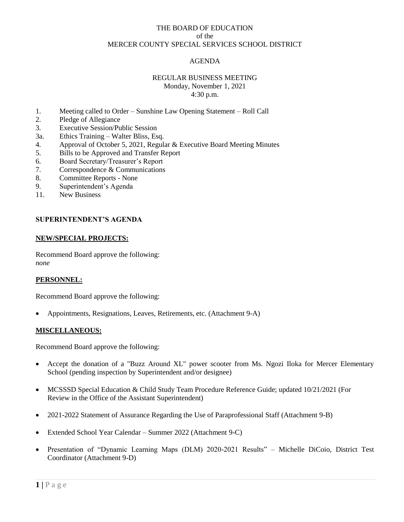# THE BOARD OF EDUCATION of the MERCER COUNTY SPECIAL SERVICES SCHOOL DISTRICT

# AGENDA

## REGULAR BUSINESS MEETING Monday, November 1, 2021 4:30 p.m.

- 1. Meeting called to Order Sunshine Law Opening Statement Roll Call
- 2. Pledge of Allegiance
- 3. Executive Session/Public Session
- 3a. Ethics Training Walter Bliss, Esq.
- 4. Approval of October 5, 2021, Regular & Executive Board Meeting Minutes
- 5. Bills to be Approved and Transfer Report
- 6. Board Secretary/Treasurer's Report
- 7. Correspondence & Communications
- 8. Committee Reports None
- 9. Superintendent's Agenda
- 11. New Business

## **SUPERINTENDENT'S AGENDA**

#### **NEW/SPECIAL PROJECTS:**

Recommend Board approve the following: *none*

#### **PERSONNEL:**

Recommend Board approve the following:

Appointments, Resignations, Leaves, Retirements, etc. (Attachment 9-A)

#### **MISCELLANEOUS:**

Recommend Board approve the following:

- Accept the donation of a "Buzz Around XL" power scooter from Ms. Ngozi Iloka for Mercer Elementary School (pending inspection by Superintendent and/or designee)
- MCSSSD Special Education & Child Study Team Procedure Reference Guide; updated 10/21/2021 (For Review in the Office of the Assistant Superintendent)
- 2021-2022 Statement of Assurance Regarding the Use of Paraprofessional Staff (Attachment 9-B)
- Extended School Year Calendar Summer 2022 (Attachment 9-C)
- Presentation of "Dynamic Learning Maps (DLM) 2020-2021 Results" Michelle DiCoio, District Test Coordinator (Attachment 9-D)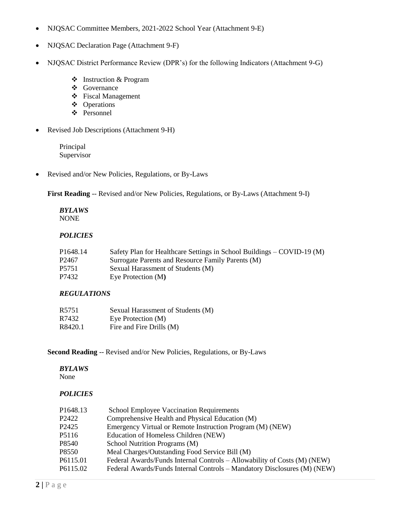- NJQSAC Committee Members, 2021-2022 School Year (Attachment 9-E)
- NJQSAC Declaration Page (Attachment 9-F)
- NJQSAC District Performance Review (DPR's) for the following Indicators (Attachment 9-G)
	- Instruction & Program
	- Governance
	- Fiscal Management
	- Operations
	- Personnel
- Revised Job Descriptions (Attachment 9-H)

Principal Supervisor

Revised and/or New Policies, Regulations, or By-Laws

First Reading -- Revised and/or New Policies, Regulations, or By-Laws (Attachment 9-I)

#### *BYLAWS* NONE

# *POLICIES*

| P1648.14 | Safety Plan for Healthcare Settings in School Buildings – COVID-19 (M) |
|----------|------------------------------------------------------------------------|
| P2467    | Surrogate Parents and Resource Family Parents (M)                      |
| P5751    | Sexual Harassment of Students (M)                                      |
| P7432    | Eye Protection (M)                                                     |

# *REGULATIONS*

| R5751   | Sexual Harassment of Students (M) |
|---------|-----------------------------------|
| R7432   | Eye Protection (M)                |
| R8420.1 | Fire and Fire Drills (M)          |

**Second Reading** -- Revised and/or New Policies, Regulations, or By-Laws

## *BYLAWS*

None

# *POLICIES*

| P1648.13 | <b>School Employee Vaccination Requirements</b>                          |
|----------|--------------------------------------------------------------------------|
| P2422    | Comprehensive Health and Physical Education (M)                          |
| P2425    | Emergency Virtual or Remote Instruction Program (M) (NEW)                |
| P5116    | Education of Homeless Children (NEW)                                     |
| P8540    | School Nutrition Programs (M)                                            |
| P8550    | Meal Charges/Outstanding Food Service Bill (M)                           |
| P6115.01 | Federal Awards/Funds Internal Controls – Allowability of Costs (M) (NEW) |
| P6115.02 | Federal Awards/Funds Internal Controls – Mandatory Disclosures (M) (NEW) |
|          |                                                                          |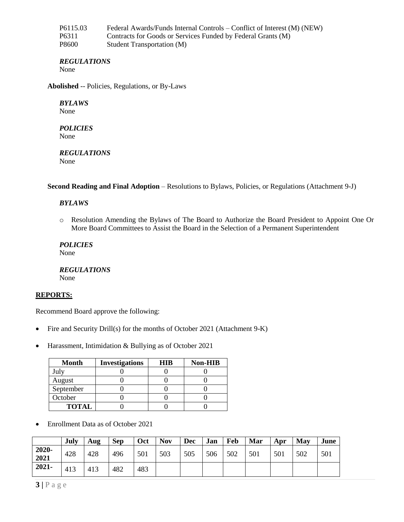| P6115.03 | Federal Awards/Funds Internal Controls – Conflict of Interest (M) (NEW) |
|----------|-------------------------------------------------------------------------|
| P6311    | Contracts for Goods or Services Funded by Federal Grants (M)            |
| P8600    | <b>Student Transportation (M)</b>                                       |

## *REGULATIONS*

None

**Abolished** -- Policies, Regulations, or By-Laws

# *BYLAWS*

None

#### *POLICIES* None

*REGULATIONS* None

**Second Reading and Final Adoption** – Resolutions to Bylaws, Policies, or Regulations (Attachment 9-J)

# *BYLAWS*

o Resolution Amending the Bylaws of The Board to Authorize the Board President to Appoint One Or More Board Committees to Assist the Board in the Selection of a Permanent Superintendent

*POLICIES* None

*REGULATIONS* None

## **REPORTS:**

Recommend Board approve the following:

- Fire and Security Drill(s) for the months of October 2021 (Attachment 9-K)
- Harassment, Intimidation & Bullying as of October 2021

| <b>Month</b> | <b>Investigations</b> | <b>HIB</b> | <b>Non-HIB</b> |
|--------------|-----------------------|------------|----------------|
| July         |                       |            |                |
| August       |                       |            |                |
| September    |                       |            |                |
| October      |                       |            |                |
| <b>TOTAL</b> |                       |            |                |

Enrollment Data as of October 2021

|               | July | Aug | <b>Sep</b> | Oct | <b>Nov</b> | <b>Dec</b> | Jan | Feb | Mar | Apr | May | June |
|---------------|------|-----|------------|-----|------------|------------|-----|-----|-----|-----|-----|------|
| 2020-<br>2021 | 428  | 428 | 496        | 501 | 503        | 505        | 506 | 502 | 501 | 501 | 502 | 501  |
| 2021-         | 413  | 413 | 482        | 483 |            |            |     |     |     |     |     |      |